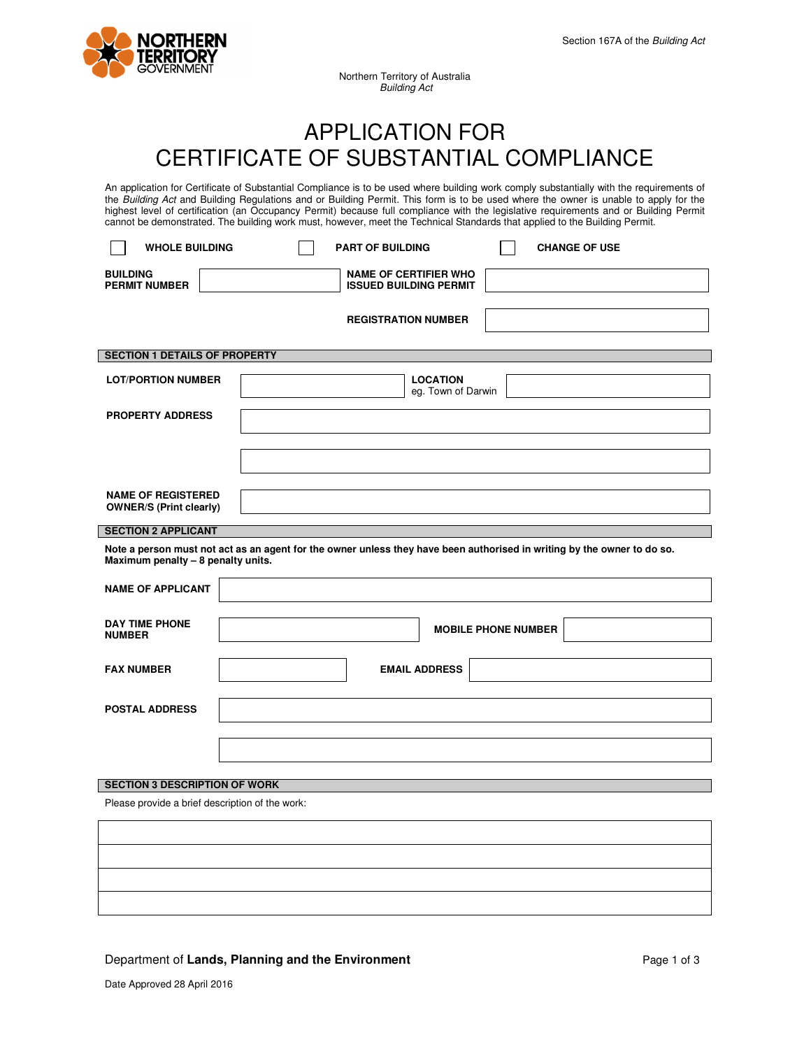

Northern Territory of Australia Building Act

# APPLICATION FOR CERTIFICATE OF SUBSTANTIAL COMPLIANCE

An application for Certificate of Substantial Compliance is to be used where building work comply substantially with the requirements of the Building Act and Building Regulations and or Building Permit. This form is to be used where the owner is unable to apply for the highest level of certification (an Occupancy Permit) because full compliance with the legislative requirements and or Building Permit cannot be demonstrated. The building work must, however, meet the Technical Standards that applied to the Building Permit.

| <b>WHOLE BUILDING</b>                                                                                                                                         | <b>PART OF BUILDING</b><br><b>CHANGE OF USE</b>               |  |  |
|---------------------------------------------------------------------------------------------------------------------------------------------------------------|---------------------------------------------------------------|--|--|
| <b>BUILDING</b><br><b>PERMIT NUMBER</b>                                                                                                                       | <b>NAME OF CERTIFIER WHO</b><br><b>ISSUED BUILDING PERMIT</b> |  |  |
|                                                                                                                                                               | <b>REGISTRATION NUMBER</b>                                    |  |  |
| <b>SECTION 1 DETAILS OF PROPERTY</b>                                                                                                                          |                                                               |  |  |
| <b>LOT/PORTION NUMBER</b>                                                                                                                                     | <b>LOCATION</b><br>eg. Town of Darwin                         |  |  |
| <b>PROPERTY ADDRESS</b>                                                                                                                                       |                                                               |  |  |
|                                                                                                                                                               |                                                               |  |  |
|                                                                                                                                                               |                                                               |  |  |
| <b>NAME OF REGISTERED</b><br><b>OWNER/S (Print clearly)</b>                                                                                                   |                                                               |  |  |
| <b>SECTION 2 APPLICANT</b>                                                                                                                                    |                                                               |  |  |
| Note a person must not act as an agent for the owner unless they have been authorised in writing by the owner to do so.<br>Maximum penalty - 8 penalty units. |                                                               |  |  |
| <b>NAME OF APPLICANT</b>                                                                                                                                      |                                                               |  |  |
| <b>DAY TIME PHONE</b><br><b>NUMBER</b>                                                                                                                        | <b>MOBILE PHONE NUMBER</b>                                    |  |  |
| <b>FAX NUMBER</b>                                                                                                                                             | <b>EMAIL ADDRESS</b>                                          |  |  |
|                                                                                                                                                               |                                                               |  |  |
| <b>POSTAL ADDRESS</b>                                                                                                                                         |                                                               |  |  |
|                                                                                                                                                               |                                                               |  |  |
|                                                                                                                                                               |                                                               |  |  |
| <b>SECTION 3 DESCRIPTION OF WORK</b>                                                                                                                          |                                                               |  |  |
| Dlogge provide a brief description of the work:                                                                                                               |                                                               |  |  |

Please provide a brief description of the work:

## Department of Lands, Planning and the Environment **Page 1** of 3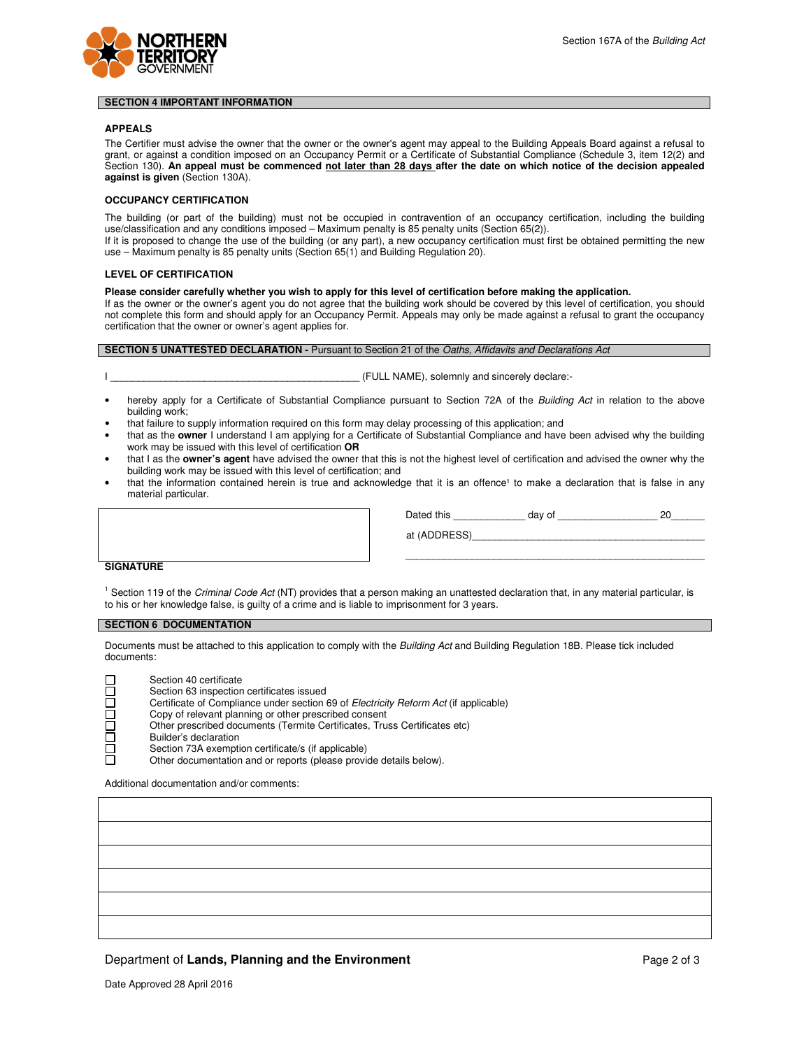

#### **SECTION 4 IMPORTANT INFORMATION**

#### **APPEALS**

The Certifier must advise the owner that the owner or the owner's agent may appeal to the Building Appeals Board against a refusal to grant, or against a condition imposed on an Occupancy Permit or a Certificate of Substantial Compliance (Schedule 3, item 12(2) and Section 130). An appeal must be commenced not later than 28 days after the date on which notice of the decision appealed **against is given** (Section 130A).

#### **OCCUPANCY CERTIFICATION**

The building (or part of the building) must not be occupied in contravention of an occupancy certification, including the building use/classification and any conditions imposed – Maximum penalty is 85 penalty units (Section 65(2)).

If it is proposed to change the use of the building (or any part), a new occupancy certification must first be obtained permitting the new use – Maximum penalty is 85 penalty units (Section 65(1) and Building Regulation 20).

#### **LEVEL OF CERTIFICATION**

**Please consider carefully whether you wish to apply for this level of certification before making the application.** 

If as the owner or the owner's agent you do not agree that the building work should be covered by this level of certification, you should not complete this form and should apply for an Occupancy Permit. Appeals may only be made against a refusal to grant the occupancy certification that the owner or owner's agent applies for.

## **SECTION 5 UNATTESTED DECLARATION - Pursuant to Section 21 of the Oaths, Affidavits and Declarations Act**

(FULL NAME), solemnly and sincerely declare:-

- hereby apply for a Certificate of Substantial Compliance pursuant to Section 72A of the Building Act in relation to the above building work;
- that failure to supply information required on this form may delay processing of this application; and
- that as the **owner** I understand I am applying for a Certificate of Substantial Compliance and have been advised why the building work may be issued with this level of certification **OR**
- that I as the **owner's agent** have advised the owner that this is not the highest level of certification and advised the owner why the building work may be issued with this level of certification; and
- that the information contained herein is true and acknowledge that it is an offence<sup>1</sup> to make a declaration that is false in any material particular.

| Dated this   | day of |  |
|--------------|--------|--|
| at (ADDRESS) |        |  |

\_\_\_\_\_\_\_\_\_\_\_\_\_\_\_\_\_\_\_\_\_\_\_\_\_\_\_\_\_\_\_\_\_\_\_\_\_\_\_\_\_\_\_\_\_\_\_\_\_\_\_\_\_\_

#### **SIGNATURE**

<sup>1</sup> Section 119 of the Criminal Code Act (NT) provides that a person making an unattested declaration that, in any material particular, is to his or her knowledge false, is guilty of a crime and is liable to imprisonment for 3 years.

#### **SECTION 6 DOCUMENTATION**

Documents must be attached to this application to comply with the Building Act and Building Regulation 18B. Please tick included documents:



Additional documentation and/or comments:

## **Department of Lands, Planning and the Environment Page 2 of 3** Page 2 of 3